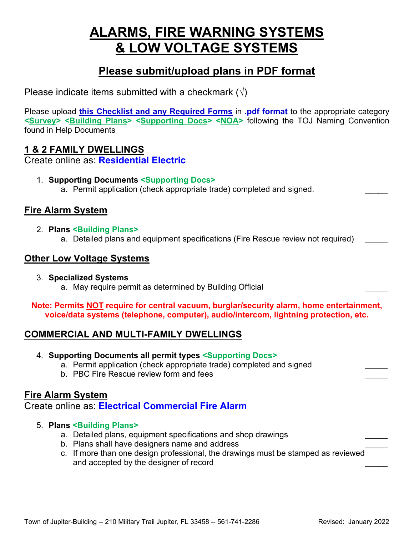# **ALARMS, FIRE WARNING SYSTEMS & LOW VOLTAGE SYSTEMS**

## **Please submit/upload plans in PDF format**

Please indicate items submitted with a checkmark  $(\sqrt{})$ 

Please upload **this Checklist and any Required Forms** in **.pdf format** to the appropriate category **<Survey> <Building Plans> <Supporting Docs> <NOA>** following the TOJ Naming Convention found in Help Documents

## **1 & 2 FAMILY DWELLINGS**

Create online as: **Residential Electric**

- 1. **Supporting Documents <Supporting Docs>**
	- a. Permit application (check appropriate trade) completed and signed.

## **Fire Alarm System**

- 2. **Plans <Building Plans>**
	- a. Detailed plans and equipment specifications (Fire Rescue review not required)

## **Other Low Voltage Systems**

3. **Specialized Systems** a. May require permit as determined by Building Official

**Note: Permits NOT require for central vacuum, burglar/security alarm, home entertainment, voice/data systems (telephone, computer), audio/intercom, lightning protection, etc.**

## **COMMERCIAL AND MULTI-FAMILY DWELLINGS**

- 4. **Supporting Documents all permit types <Supporting Docs>** 
	- a. Permit application (check appropriate trade) completed and signed
	- b. PBC Fire Rescue review form and fees

## **Fire Alarm System**

## Create online as: **Electrical Commercial Fire Alarm**

#### 5. **Plans <Building Plans>**

- a. Detailed plans, equipment specifications and shop drawings
- b. Plans shall have designers name and address
- c. If more than one design professional, the drawings must be stamped as reviewed and accepted by the designer of record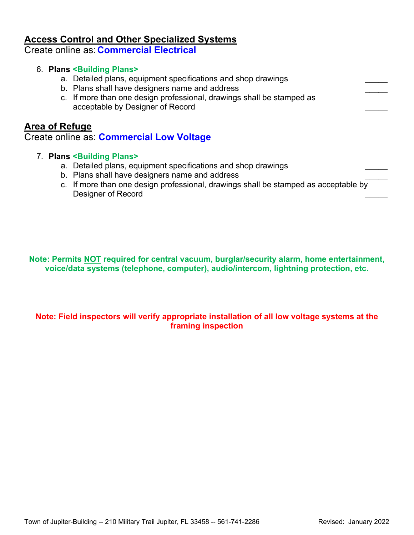## **Access Control and Other Specialized Systems**

Create online as: **Commercial Electrical**

#### 6. **Plans <Building Plans>**

- a. Detailed plans, equipment specifications and shop drawings
- b. Plans shall have designers name and address
- c. If more than one design professional, drawings shall be stamped as acceptable by Designer of Record

#### **Area of Refuge**

#### Create online as: **Commercial Low Voltage**

#### 7. **Plans <Building Plans>**

- a. Detailed plans, equipment specifications and shop drawings
- b. Plans shall have designers name and address
- c. If more than one design professional, drawings shall be stamped as acceptable by Designer of Record

**Note: Permits NOT required for central vacuum, burglar/security alarm, home entertainment, voice/data systems (telephone, computer), audio/intercom, lightning protection, etc.**

#### **Note: Field inspectors will verify appropriate installation of all low voltage systems at the framing inspection**